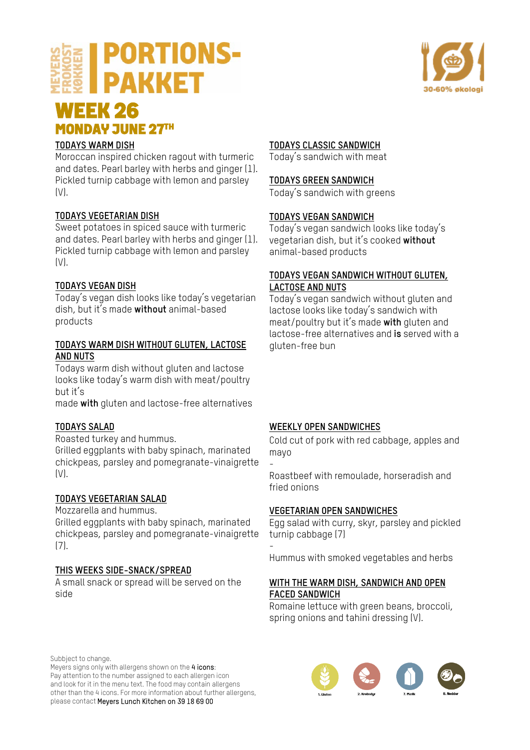# **PORTIONS-PAKKET**



# **WEEK 26<br>MONDAY JUNE 27TH**

### **TODAYS WARM DISH**

Moroccan inspired chicken ragout with turmeric and dates. Pearl barley with herbs and ginger (1). Pickled turnip cabbage with lemon and parsley  $(N)$ .

### **TODAYS VEGETARIAN DISH**

Sweet potatoes in spiced sauce with turmeric and dates. Pearl barley with herbs and ginger (1). Pickled turnip cabbage with lemon and parsley  $[V]$ .

### **TODAYS VEGAN DISH**

Today's vegan dish looks like today's vegetarian dish, but it's made **without** animal-based products

#### **TODAYS WARM DISH WITHOUT GLUTEN, LACTOSE AND NUTS**

Todays warm dish without gluten and lactose looks like today's warm dish with meat/poultry but it's

made **with** gluten and lactose-free alternatives

## **TODAYS SALAD**

Roasted turkey and hummus. Grilled eggplants with baby spinach, marinated chickpeas, parsley and pomegranate-vinaigrette (V).

### **TODAYS VEGETARIAN SALAD**

Mozzarella and hummus.

Grilled eggplants with baby spinach, marinated chickpeas, parsley and pomegranate-vinaigrette (7).

### **THIS WEEKS SIDE-SNACK/SPREAD**

A small snack or spread will be served on the side

### **TODAYS CLASSIC SANDWICH**

Today's sandwich with meat

#### **TODAYS GREEN SANDWICH**

Today's sandwich with greens

#### **TODAYS VEGAN SANDWICH**

Today's vegan sandwich looks like today's vegetarian dish, but it's cooked **without** animal-based products

#### **TODAYS VEGAN SANDWICH WITHOUT GLUTEN, LACTOSE AND NUTS**

Today's vegan sandwich without gluten and lactose looks like today's sandwich with meat/poultry but it's made **with** gluten and lactose-free alternatives and **is** served with a gluten-free bun

### **WEEKLY OPEN SANDWICHES**

Cold cut of pork with red cabbage, apples and mayo

- Roastbeef with remoulade, horseradish and fried onions

#### **VEGETARIAN OPEN SANDWICHES**

Egg salad with curry, skyr, parsley and pickled turnip cabbage (7)

- Hummus with smoked vegetables and herbs

### **WITH THE WARM DISH, SANDWICH AND OPEN FACED SANDWICH**

Romaine lettuce with green beans, broccoli, spring onions and tahini dressing (V).

Subbject to change.

Meyers signs only with allergens shown on the 4 icons: Pay attention to the number assigned to each allergen icon and look for it in the menu text. The food may contain allergens other than the 4 icons. For more information about further allergens, please contact Meyers Lunch Kitchen on 39 18 69 00

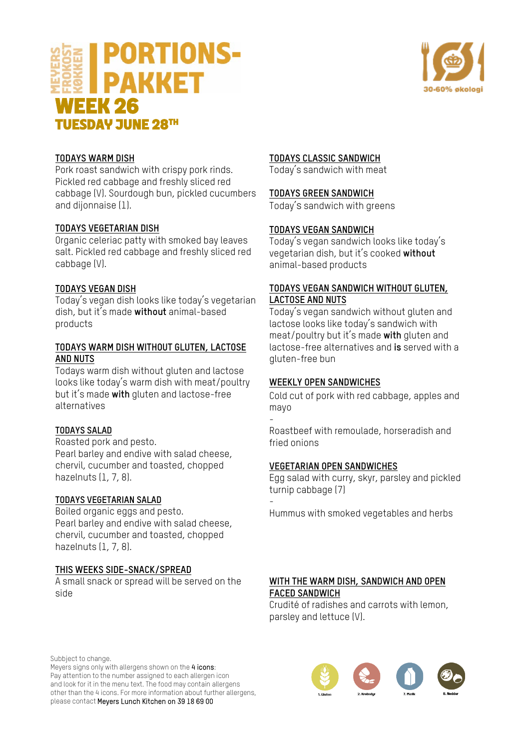



#### **TODAYS WARM DISH**

Pork roast sandwich with crispy pork rinds. Pickled red cabbage and freshly sliced red cabbage (V). Sourdough bun, pickled cucumbers and dijonnaise (1).

#### **TODAYS VEGETARIAN DISH**

Organic celeriac patty with smoked bay leaves salt. Pickled red cabbage and freshly sliced red cabbage (V).

#### **TODAYS VEGAN DISH**

Today's vegan dish looks like today's vegetarian dish, but it's made **without** animal-based products

#### **TODAYS WARM DISH WITHOUT GLUTEN, LACTOSE AND NUTS**

Todays warm dish without gluten and lactose looks like today's warm dish with meat/poultry but it's made **with** gluten and lactose-free alternatives

#### **TODAYS SALAD**

Roasted pork and pesto. Pearl barley and endive with salad cheese, chervil, cucumber and toasted, chopped hazelnuts (1, 7, 8).

#### **TODAYS VEGETARIAN SALAD**

Boiled organic eggs and pesto. Pearl barley and endive with salad cheese, chervil, cucumber and toasted, chopped hazelnuts (1, 7, 8).

#### **THIS WEEKS SIDE-SNACK/SPREAD**

A small snack or spread will be served on the side

#### **TODAYS CLASSIC SANDWICH**

Today's sandwich with meat

#### **TODAYS GREEN SANDWICH**

Today's sandwich with greens

#### **TODAYS VEGAN SANDWICH**

Today's vegan sandwich looks like today's vegetarian dish, but it's cooked **without** animal-based products

#### **TODAYS VEGAN SANDWICH WITHOUT GLUTEN, LACTOSE AND NUTS**

Today's vegan sandwich without gluten and lactose looks like today's sandwich with meat/poultry but it's made **with** gluten and lactose-free alternatives and **is** served with a gluten-free bun

#### **WEEKLY OPEN SANDWICHES**

Cold cut of pork with red cabbage, apples and mayo

- Roastbeef with remoulade, horseradish and fried onions

#### **VEGETARIAN OPEN SANDWICHES**

Egg salad with curry, skyr, parsley and pickled turnip cabbage (7)

- Hummus with smoked vegetables and herbs

#### **WITH THE WARM DISH, SANDWICH AND OPEN FACED SANDWICH**

Crudité of radishes and carrots with lemon, parsley and lettuce (V).

Subbject to change.

Meyers signs only with allergens shown on the 4 icons: Pay attention to the number assigned to each allergen icon and look for it in the menu text. The food may contain allergens other than the 4 icons. For more information about further allergens, please contact Meyers Lunch Kitchen on 39 18 69 00

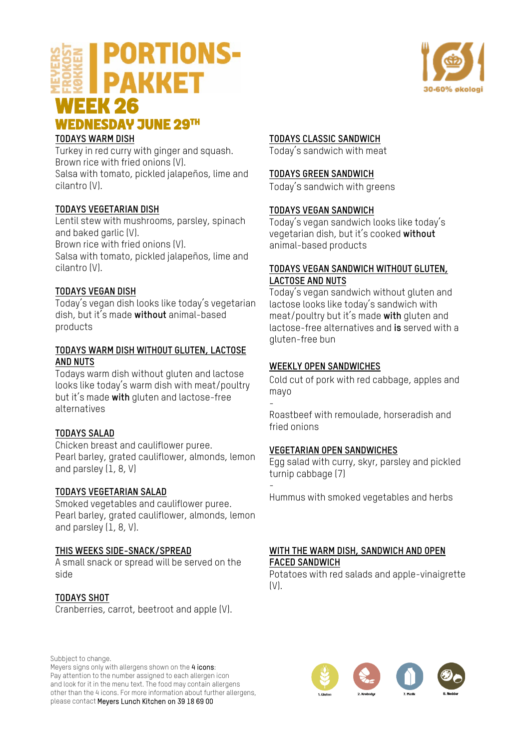## **PORTIONS-PAKKET WEEK 26 WEDNESDAY JUNE 29TH**



#### **TODAYS WARM DISH**

Turkey in red curry with ginger and squash. Brown rice with fried onions (V). Salsa with tomato, pickled jalapeños, lime and cilantro (V).

#### **TODAYS VEGETARIAN DISH**

Lentil stew with mushrooms, parsley, spinach and baked garlic (V). Brown rice with fried onions (V). Salsa with tomato, pickled jalapeños, lime and cilantro (V).

#### **TODAYS VEGAN DISH**

Today's vegan dish looks like today's vegetarian dish, but it's made **without** animal-based products

#### **TODAYS WARM DISH WITHOUT GLUTEN, LACTOSE AND NUTS**

Todays warm dish without gluten and lactose looks like today's warm dish with meat/poultry but it's made **with** gluten and lactose-free alternatives

#### **TODAYS SALAD**

Chicken breast and cauliflower puree. Pearl barley, grated cauliflower, almonds, lemon and parsley (1, 8, V)

#### **TODAYS VEGETARIAN SALAD**

Smoked vegetables and cauliflower puree. Pearl barley, grated cauliflower, almonds, lemon and parsley (1, 8, V).

#### **THIS WEEKS SIDE-SNACK/SPREAD**

A small snack or spread will be served on the side

#### **TODAYS SHOT**

Cranberries, carrot, beetroot and apple (V).

Subbject to change.

Meyers signs only with allergens shown on the 4 icons: Pay attention to the number assigned to each allergen icon and look for it in the menu text. The food may contain allergens other than the 4 icons. For more information about further allergens, please contact Meyers Lunch Kitchen on 39 18 69 00

#### **TODAYS CLASSIC SANDWICH**

Today's sandwich with meat

#### **TODAYS GREEN SANDWICH**

Today's sandwich with greens

#### **TODAYS VEGAN SANDWICH**

Today's vegan sandwich looks like today's vegetarian dish, but it's cooked **without** animal-based products

#### **TODAYS VEGAN SANDWICH WITHOUT GLUTEN, LACTOSE AND NUTS**

Today's vegan sandwich without gluten and lactose looks like today's sandwich with meat/poultry but it's made **with** gluten and lactose-free alternatives and **is** served with a gluten-free bun

#### **WEEKLY OPEN SANDWICHES**

Cold cut of pork with red cabbage, apples and mayo

- Roastbeef with remoulade, horseradish and fried onions

#### **VEGETARIAN OPEN SANDWICHES**

Egg salad with curry, skyr, parsley and pickled turnip cabbage (7)

- Hummus with smoked vegetables and herbs

#### **WITH THE WARM DISH, SANDWICH AND OPEN FACED SANDWICH**

Potatoes with red salads and apple-vinaigrette (V).



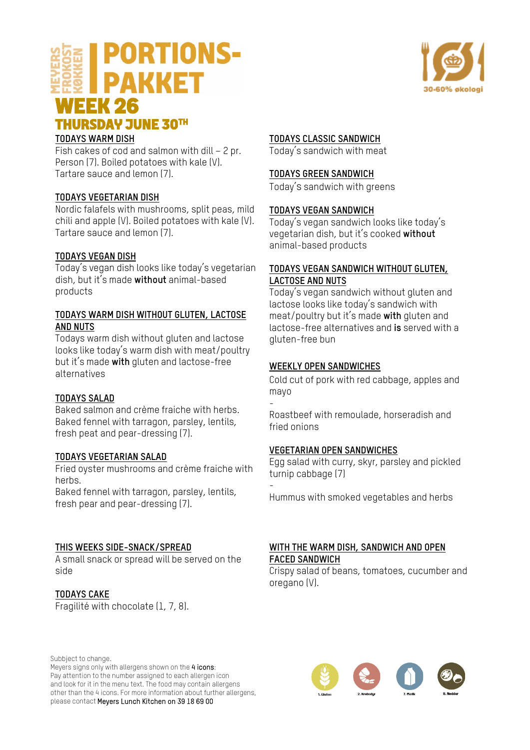![](_page_3_Picture_0.jpeg)

#### **TODAYS WARM DISH**

Fish cakes of cod and salmon with dill – 2 pr. Person (7). Boiled potatoes with kale (V). Tartare sauce and lemon (7).

#### **TODAYS VEGETARIAN DISH**

Nordic falafels with mushrooms, split peas, mild chili and apple (V). Boiled potatoes with kale (V). Tartare sauce and lemon (7).

#### **TODAYS VEGAN DISH**

Today's vegan dish looks like today's vegetarian dish, but it's made **without** animal-based products

#### **TODAYS WARM DISH WITHOUT GLUTEN, LACTOSE AND NUTS**

Todays warm dish without gluten and lactose looks like today's warm dish with meat/poultry but it's made **with** gluten and lactose-free alternatives

#### **TODAYS SALAD**

Baked salmon and crème fraiche with herbs. Baked fennel with tarragon, parsley, lentils, fresh peat and pear-dressing (7).

#### **TODAYS VEGETARIAN SALAD**

Fried oyster mushrooms and crème fraiche with herhs

Baked fennel with tarragon, parsley, lentils, fresh pear and pear-dressing (7).

#### **THIS WEEKS SIDE-SNACK/SPREAD**

A small snack or spread will be served on the side

#### **TODAYS CAKE**

Fragilité with chocolate (1, 7, 8).

#### **TODAYS CLASSIC SANDWICH**

Today's sandwich with meat

#### **TODAYS GREEN SANDWICH**

Today's sandwich with greens

#### **TODAYS VEGAN SANDWICH**

Today's vegan sandwich looks like today's vegetarian dish, but it's cooked **without** animal-based products

#### **TODAYS VEGAN SANDWICH WITHOUT GLUTEN, LACTOSE AND NUTS**

Today's vegan sandwich without gluten and lactose looks like today's sandwich with meat/poultry but it's made **with** gluten and lactose-free alternatives and **is** served with a gluten-free bun

#### **WEEKLY OPEN SANDWICHES**

Cold cut of pork with red cabbage, apples and mayo

- Roastbeef with remoulade, horseradish and fried onions

#### **VEGETARIAN OPEN SANDWICHES**

Egg salad with curry, skyr, parsley and pickled turnip cabbage (7)

- Hummus with smoked vegetables and herbs

#### **WITH THE WARM DISH, SANDWICH AND OPEN FACED SANDWICH**

Crispy salad of beans, tomatoes, cucumber and oregano (V).

![](_page_3_Picture_35.jpeg)

Meyers signs only with allergens shown on the 4 icons: Pay attention to the number assigned to each allergen icon and look for it in the menu text. The food may contain allergens other than the 4 icons. For more information about further allergens, please contact Meyers Lunch Kitchen on 39 18 69 00

![](_page_3_Figure_37.jpeg)

![](_page_3_Picture_38.jpeg)